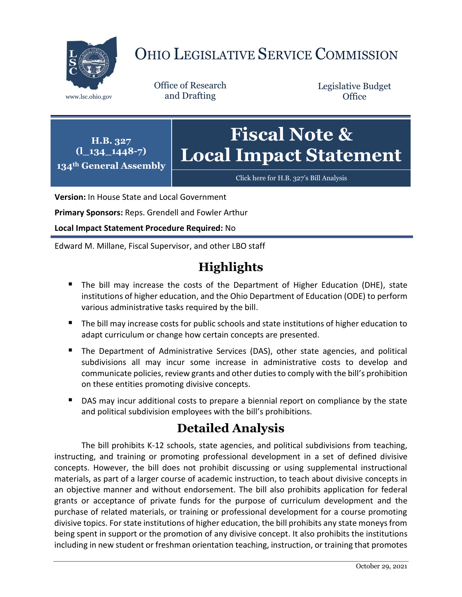

# OHIO LEGISLATIVE SERVICE COMMISSION

Office of Research www.lsc.ohio.gov and Drafting

Legislative Budget **Office** 



[Click here for H.B. 327](https://www.legislature.ohio.gov/legislation/legislation-documents?id=GA134-HB-327)'s Bill Analysis

**Version:** In House State and Local Government

**Primary Sponsors:** Reps. Grendell and Fowler Arthur

**Local Impact Statement Procedure Required:** No

Edward M. Millane, Fiscal Supervisor, and other LBO staff

# **Highlights**

- The bill may increase the costs of the Department of Higher Education (DHE), state institutions of higher education, and the Ohio Department of Education (ODE) to perform various administrative tasks required by the bill.
- The bill may increase costs for public schools and state institutions of higher education to adapt curriculum or change how certain concepts are presented.
- The Department of Administrative Services (DAS), other state agencies, and political subdivisions all may incur some increase in administrative costs to develop and communicate policies, review grants and other duties to comply with the bill's prohibition on these entities promoting divisive concepts.
- **DAS may incur additional costs to prepare a biennial report on compliance by the state** and political subdivision employees with the bill's prohibitions.

## **Detailed Analysis**

The bill prohibits K-12 schools, state agencies, and political subdivisions from teaching, instructing, and training or promoting professional development in a set of defined divisive concepts. However, the bill does not prohibit discussing or using supplemental instructional materials, as part of a larger course of academic instruction, to teach about divisive concepts in an objective manner and without endorsement. The bill also prohibits application for federal grants or acceptance of private funds for the purpose of curriculum development and the purchase of related materials, or training or professional development for a course promoting divisive topics. For state institutions of higher education, the bill prohibits any state moneys from being spent in support or the promotion of any divisive concept. It also prohibits the institutions including in new student or freshman orientation teaching, instruction, or training that promotes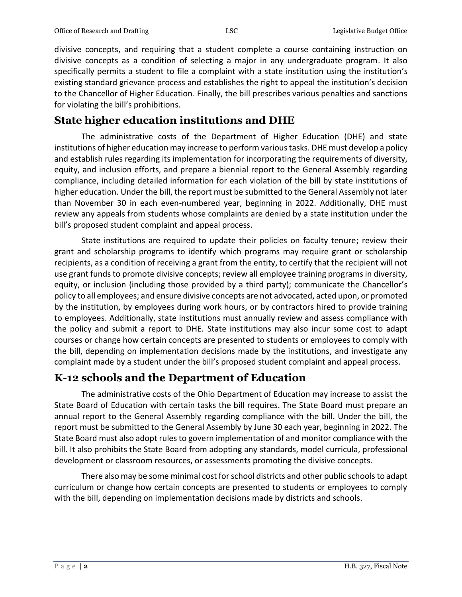divisive concepts, and requiring that a student complete a course containing instruction on divisive concepts as a condition of selecting a major in any undergraduate program. It also specifically permits a student to file a complaint with a state institution using the institution's existing standard grievance process and establishes the right to appeal the institution's decision to the Chancellor of Higher Education. Finally, the bill prescribes various penalties and sanctions for violating the bill's prohibitions.

#### **State higher education institutions and DHE**

The administrative costs of the Department of Higher Education (DHE) and state institutions of higher education may increase to perform various tasks. DHE must develop a policy and establish rules regarding its implementation for incorporating the requirements of diversity, equity, and inclusion efforts, and prepare a biennial report to the General Assembly regarding compliance, including detailed information for each violation of the bill by state institutions of higher education. Under the bill, the report must be submitted to the General Assembly not later than November 30 in each even-numbered year, beginning in 2022. Additionally, DHE must review any appeals from students whose complaints are denied by a state institution under the bill's proposed student complaint and appeal process.

State institutions are required to update their policies on faculty tenure; review their grant and scholarship programs to identify which programs may require grant or scholarship recipients, as a condition of receiving a grant from the entity, to certify that the recipient will not use grant funds to promote divisive concepts; review all employee training programs in diversity, equity, or inclusion (including those provided by a third party); communicate the Chancellor's policy to all employees; and ensure divisive concepts are not advocated, acted upon, or promoted by the institution, by employees during work hours, or by contractors hired to provide training to employees. Additionally, state institutions must annually review and assess compliance with the policy and submit a report to DHE. State institutions may also incur some cost to adapt courses or change how certain concepts are presented to students or employees to comply with the bill, depending on implementation decisions made by the institutions, and investigate any complaint made by a student under the bill's proposed student complaint and appeal process.

#### **K-12 schools and the Department of Education**

The administrative costs of the Ohio Department of Education may increase to assist the State Board of Education with certain tasks the bill requires. The State Board must prepare an annual report to the General Assembly regarding compliance with the bill. Under the bill, the report must be submitted to the General Assembly by June 30 each year, beginning in 2022. The State Board must also adopt rules to govern implementation of and monitor compliance with the bill. It also prohibits the State Board from adopting any standards, model curricula, professional development or classroom resources, or assessments promoting the divisive concepts.

There also may be some minimal cost for school districts and other public schoolsto adapt curriculum or change how certain concepts are presented to students or employees to comply with the bill, depending on implementation decisions made by districts and schools.